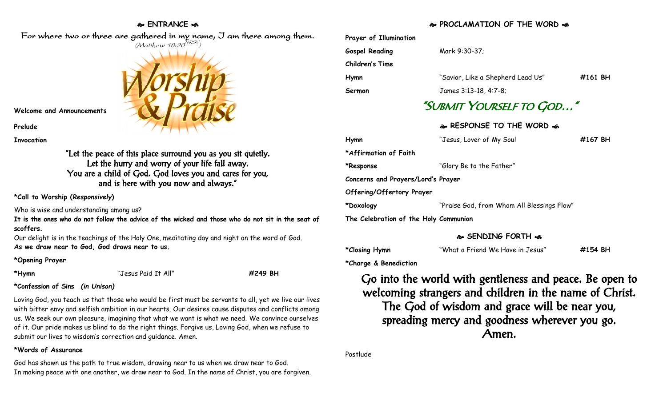### **ENTRANCE**



# $(M$ atthew 18:20 $^{NRSV})$

**Welcome and Announcements**

**Prelude**

**Invocation**

"Let the peace of this place surround you as you sit quietly. Let the hurry and worry of your life fall away. You are a child of God. God loves you and cares for you, and is here with you now and always."

**\*Call to Worship (***Responsively***)** 

Who is wise and understanding among us?

**It is the ones who do not follow the advice of the wicked and those who do not sit in the seat of scoffers.**

Our delight is in the teachings of the Holy One, meditating day and night on the word of God. **As we draw near to God, God draws near to us.**

### **\*Opening Prayer**

**\*Hymn** "Jesus Paid It All" **#249 BH**

# **\*Confession of Sins** *(in Unison)*

Loving God, you teach us that those who would be first must be servants to all, yet we live our lives with bitter envy and selfish ambition in our hearts. Our desires cause disputes and conflicts among us. We seek our own pleasure, imagining that what we want is what we need. We convince ourselves of it. Our pride makes us blind to do the right things. Forgive us, Loving God, when we refuse to submit our lives to wisdom's correction and guidance. Amen.

### **\*Words of Assurance**

God has shown us the path to true wisdom, drawing near to us when we draw near to God. In making peace with one another, we draw near to God. In the name of Christ, you are forgiven.

## **PROCLAMATTON OF THE WORD A**

|                                       | WINCLAMATION OF THE WOND SP                |         |  |
|---------------------------------------|--------------------------------------------|---------|--|
| Prayer of Illumination                |                                            |         |  |
| <b>Gospel Reading</b>                 | Mark 9:30-37;                              |         |  |
| Children's Time                       |                                            |         |  |
| Hymn                                  | "Savior, Like a Shepherd Lead Us"          | #161 BH |  |
| Sermon                                | James 3:13-18, 4:7-8;                      |         |  |
| "SUBMIT YOURSELF TO GOD"              |                                            |         |  |
|                                       | & RESPONSE TO THE WORD &                   |         |  |
| Hymn                                  | "Jesus, Lover of My Soul                   | #167 BH |  |
| *Affirmation of Faith                 |                                            |         |  |
| *Response                             | "Glory Be to the Father"                   |         |  |
| Concerns and Prayers/Lord's Prayer    |                                            |         |  |
| Offering/Offertory Prayer             |                                            |         |  |
| *Doxology                             | "Praise God, from Whom All Blessings Flow" |         |  |
| The Celebration of the Holy Communion |                                            |         |  |

### **SENDING FORTH**

| *Closing Hymn | "What a Friend We Have in Jesus" | #154 BH |
|---------------|----------------------------------|---------|
|---------------|----------------------------------|---------|

**\*Charge & Benediction**

Go into the world with gentleness and peace. Be open to welcoming strangers and children in the name of Christ. The God of wisdom and grace will be near you, spreading mercy and goodness wherever you go. Amen.

Postlude